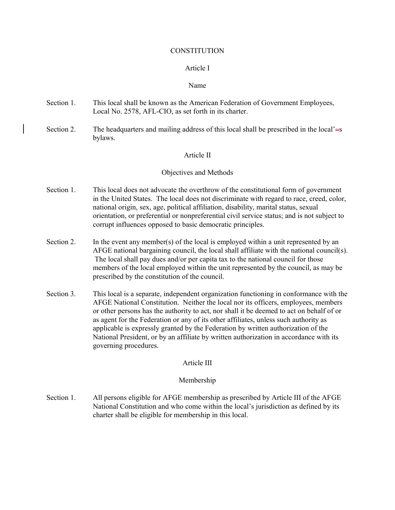#### **CONSTITUTION**

### Article I

#### Name

- Section 1. This local shall be known as the American Federation of Government Employees, Local No. 2578, AFL-CIO, as set forth in its charter.
- Section 2. The headquarters and mailing address of this local shall be prescribed in the local' $\equiv$ s bylaws.

### Article II

### Objectives and Methods

- Section 1. This local does not advocate the overthrow of the constitutional form of government in the United States. The local does not discriminate with regard to race, creed, color, national origin, sex, age, political affiliation, disability, marital status, sexual orientation, or preferential or nonpreferential civil service status; and is not subject to corrupt influences opposed to basic democratic principles.
- Section 2. In the event any member(s) of the local is employed within a unit represented by an AFGE national bargaining council, the local shall affiliate with the national council(s). The local shall pay dues and/or per capita tax to the national council for those members of the local employed within the unit represented by the council, as may be prescribed by the constitution of the council.
- Section 3. This local is a separate, independent organization functioning in conformance with the AFGE National Constitution. Neither the local nor its officers, employees, members or other persons has the authority to act, nor shall it be deemed to act on behalf of or as agent for the Federation or any of its other affiliates, unless such authority as applicable is expressly granted by the Federation by written authorization of the National President, or by an affiliate by written authorization in accordance with its governing procedures.

### Article III

### Membership

Section 1. All persons eligible for AFGE membership as prescribed by Article III of the AFGE National Constitution and who come within the local's jurisdiction as defined by its charter shall be eligible for membership in this local.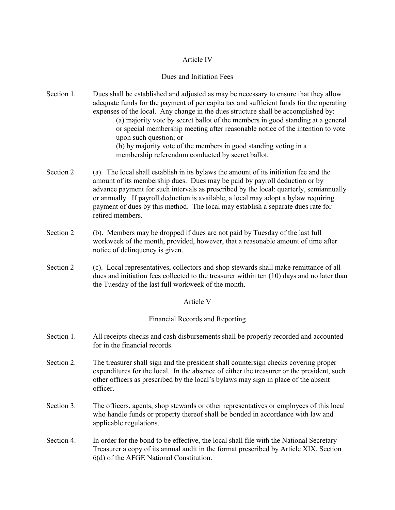# Article IV

#### Dues and Initiation Fees

- Section 1. Dues shall be established and adjusted as may be necessary to ensure that they allow adequate funds for the payment of per capita tax and sufficient funds for the operating expenses of the local. Any change in the dues structure shall be accomplished by: (a) majority vote by secret ballot of the members in good standing at a general or special membership meeting after reasonable notice of the intention to vote upon such question; or (b) by majority vote of the members in good standing voting in a membership referendum conducted by secret ballot.
- Section 2 (a). The local shall establish in its bylaws the amount of its initiation fee and the amount of its membership dues. Dues may be paid by payroll deduction or by advance payment for such intervals as prescribed by the local: quarterly, semiannually or annually. If payroll deduction is available, a local may adopt a bylaw requiring payment of dues by this method. The local may establish a separate dues rate for retired members.
- Section 2 (b). Members may be dropped if dues are not paid by Tuesday of the last full workweek of the month, provided, however, that a reasonable amount of time after notice of delinquency is given.
- Section 2 (c). Local representatives, collectors and shop stewards shall make remittance of all dues and initiation fees collected to the treasurer within ten (10) days and no later than the Tuesday of the last full workweek of the month.

# Article V

### Financial Records and Reporting

- Section 1. All receipts checks and cash disbursements shall be properly recorded and accounted for in the financial records.
- Section 2. The treasurer shall sign and the president shall countersign checks covering proper expenditures for the local. In the absence of either the treasurer or the president, such other officers as prescribed by the local's bylaws may sign in place of the absent officer.
- Section 3. The officers, agents, shop stewards or other representatives or employees of this local who handle funds or property thereof shall be bonded in accordance with law and applicable regulations.
- Section 4. In order for the bond to be effective, the local shall file with the National Secretary-Treasurer a copy of its annual audit in the format prescribed by Article XIX, Section 6(d) of the AFGE National Constitution.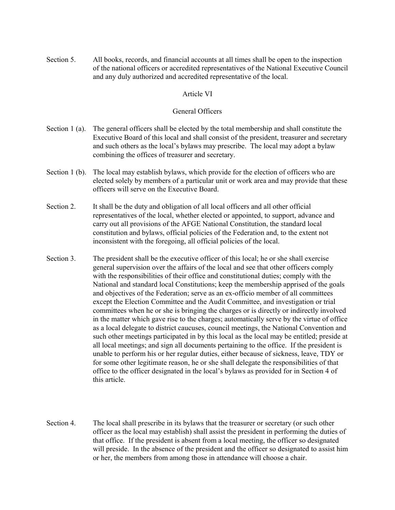Section 5. All books, records, and financial accounts at all times shall be open to the inspection of the national officers or accredited representatives of the National Executive Council and any duly authorized and accredited representative of the local.

# Article VI

# General Officers

- Section 1 (a). The general officers shall be elected by the total membership and shall constitute the Executive Board of this local and shall consist of the president, treasurer and secretary and such others as the local's bylaws may prescribe. The local may adopt a bylaw combining the offices of treasurer and secretary.
- Section 1 (b). The local may establish bylaws, which provide for the election of officers who are elected solely by members of a particular unit or work area and may provide that these officers will serve on the Executive Board.
- Section 2. It shall be the duty and obligation of all local officers and all other official representatives of the local, whether elected or appointed, to support, advance and carry out all provisions of the AFGE National Constitution, the standard local constitution and bylaws, official policies of the Federation and, to the extent not inconsistent with the foregoing, all official policies of the local.
- Section 3. The president shall be the executive officer of this local; he or she shall exercise general supervision over the affairs of the local and see that other officers comply with the responsibilities of their office and constitutional duties; comply with the National and standard local Constitutions; keep the membership apprised of the goals and objectives of the Federation; serve as an ex-officio member of all committees except the Election Committee and the Audit Committee, and investigation or trial committees when he or she is bringing the charges or is directly or indirectly involved in the matter which gave rise to the charges; automatically serve by the virtue of office as a local delegate to district caucuses, council meetings, the National Convention and such other meetings participated in by this local as the local may be entitled; preside at all local meetings; and sign all documents pertaining to the office. If the president is unable to perform his or her regular duties, either because of sickness, leave, TDY or for some other legitimate reason, he or she shall delegate the responsibilities of that office to the officer designated in the local's bylaws as provided for in Section 4 of this article.
- Section 4. The local shall prescribe in its bylaws that the treasurer or secretary (or such other officer as the local may establish) shall assist the president in performing the duties of that office. If the president is absent from a local meeting, the officer so designated will preside. In the absence of the president and the officer so designated to assist him or her, the members from among those in attendance will choose a chair.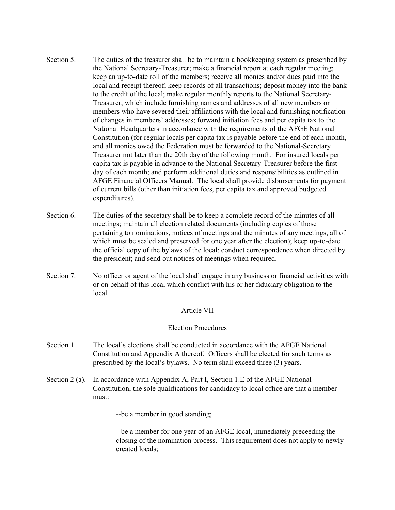- Section 5. The duties of the treasurer shall be to maintain a bookkeeping system as prescribed by the National Secretary-Treasurer; make a financial report at each regular meeting; keep an up-to-date roll of the members; receive all monies and/or dues paid into the local and receipt thereof; keep records of all transactions; deposit money into the bank to the credit of the local; make regular monthly reports to the National Secretary-Treasurer, which include furnishing names and addresses of all new members or members who have severed their affiliations with the local and furnishing notification of changes in members' addresses; forward initiation fees and per capita tax to the National Headquarters in accordance with the requirements of the AFGE National Constitution (for regular locals per capita tax is payable before the end of each month, and all monies owed the Federation must be forwarded to the National-Secretary Treasurer not later than the 20th day of the following month. For insured locals per capita tax is payable in advance to the National Secretary-Treasurer before the first day of each month; and perform additional duties and responsibilities as outlined in AFGE Financial Officers Manual. The local shall provide disbursements for payment of current bills (other than initiation fees, per capita tax and approved budgeted expenditures).
- Section 6. The duties of the secretary shall be to keep a complete record of the minutes of all meetings; maintain all election related documents (including copies of those pertaining to nominations, notices of meetings and the minutes of any meetings, all of which must be sealed and preserved for one year after the election); keep up-to-date the official copy of the bylaws of the local; conduct correspondence when directed by the president; and send out notices of meetings when required.
- Section 7. No officer or agent of the local shall engage in any business or financial activities with or on behalf of this local which conflict with his or her fiduciary obligation to the local.

### Article VII

### Election Procedures

- Section 1. The local's elections shall be conducted in accordance with the AFGE National Constitution and Appendix A thereof. Officers shall be elected for such terms as prescribed by the local's bylaws. No term shall exceed three (3) years.
- Section 2 (a). In accordance with Appendix A, Part I, Section 1.E of the AFGE National Constitution, the sole qualifications for candidacy to local office are that a member must:

--be a member in good standing;

--be a member for one year of an AFGE local, immediately preceeding the closing of the nomination process. This requirement does not apply to newly created locals;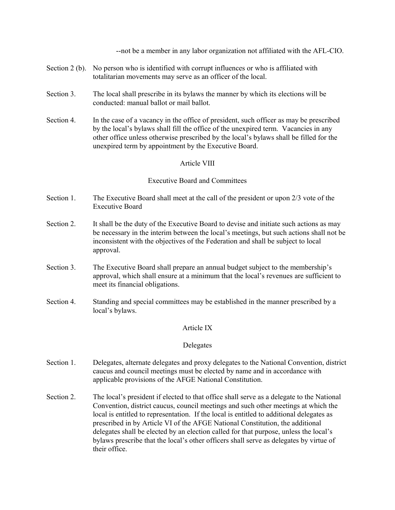--not be a member in any labor organization not affiliated with the AFL-CIO.

- Section 2 (b). No person who is identified with corrupt influences or who is affiliated with totalitarian movements may serve as an officer of the local.
- Section 3. The local shall prescribe in its bylaws the manner by which its elections will be conducted: manual ballot or mail ballot.
- Section 4. In the case of a vacancy in the office of president, such officer as may be prescribed by the local's bylaws shall fill the office of the unexpired term. Vacancies in any other office unless otherwise prescribed by the local's bylaws shall be filled for the unexpired term by appointment by the Executive Board.

# Article VIII

### Executive Board and Committees

- Section 1. The Executive Board shall meet at the call of the president or upon 2/3 vote of the Executive Board
- Section 2. It shall be the duty of the Executive Board to devise and initiate such actions as may be necessary in the interim between the local's meetings, but such actions shall not be inconsistent with the objectives of the Federation and shall be subject to local approval.
- Section 3. The Executive Board shall prepare an annual budget subject to the membership's approval, which shall ensure at a minimum that the local's revenues are sufficient to meet its financial obligations.
- Section 4. Standing and special committees may be established in the manner prescribed by a local's bylaws.

### Article IX

### Delegates

- Section 1. Delegates, alternate delegates and proxy delegates to the National Convention, district caucus and council meetings must be elected by name and in accordance with applicable provisions of the AFGE National Constitution.
- Section 2. The local's president if elected to that office shall serve as a delegate to the National Convention, district caucus, council meetings and such other meetings at which the local is entitled to representation. If the local is entitled to additional delegates as prescribed in by Article VI of the AFGE National Constitution, the additional delegates shall be elected by an election called for that purpose, unless the local's bylaws prescribe that the local's other officers shall serve as delegates by virtue of their office.